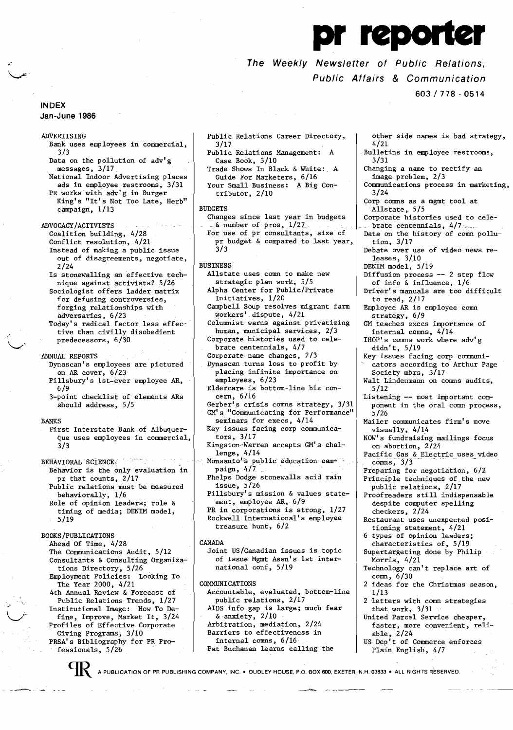# The Weekly Newslett The Weekly Newsletter of Public Relations, Public Affairs & Communication

603/778·0514

## INDEX Jan-June 1986

**ADVERTISING** Bank uses employees in commercial, 3/3

Data on the pollution of adv'g messages, 3/17. National Indoor Advertising places ads in employee restrooms, 3/31 PR works with adv'g in Burger King's "It's Not Too Late, Herb"

campaign, 1/13

ADVOCACY/ACTIVISTS Coalition building, 4/28 Conflict resolution, 4/21 Instead of making a public issue out of disagreements, negotiate, 2/24

Is stonewalling an effective technique against activists? 5/26 Sociologist offers ladder matrix for defusing controversies, forging relationships with adversaries, 6/23

Today's radical factor less effective than civilly disobedient predecessors, 6/30

### ANNUAL REPORTS

- Dynascan's employees are pictured on AR cover, 6/23 Pillsbury's 1st-ever employee AR,
- 6/9 3-point checklist of elements ARs should address, 5/5

#### BANKS

First Interstate Bank of Albuquerque uses employees in commercial, 3/3

 $\tau_{\rm c}$  is type<br>model in BEHAVIORAL SCIENCE Behavior is the only evaluation in pr that counts, 2/17 Public relations must be measured behaviorally, 1/6 Role of opinion leaders; role & timing of media; DENIM model,

5/19

# BOOKS/PUBLICATIONS

Ahead Of Time, 4/28 The Communications Audit, 5/12 Consultants & Consulting Organizations Directory, 5/26 Employment Policies: Looking To The Year 2000, 4/21 4th Annual Review & Forecast of Public Relations Trends, 1/27 Institutional Image: How To Define, Improve, Market It, 3/24 Profiles of Effective Corporate

Giving Programs, 3/10 PRSA's Bibliography for PR Professionals, 5/26

Public Relations Career Directory, 3/17 Public Relations Management: A Case Book, 3/10 Trade Shows In Black & White: A

Guide For Marketers, 6/16 Your Small Business: A Big Contributor, 2/10

#### BUDGETS

Changes since last year in budgets  $-$ & number of pros,  $1/27$ . For use of pr consultants, size of pr budget & compared to last year, 3/3

### BUSINESS

- Allstate uses comn to make new strategic plan work, 5/5 Alpha Center for Public/Private
- Initiatives, 1/20
- Campbell Soup resolves migrant farm workers' dispute, 4/21
- Columnist warns against privatizing human, municipal services, 2/3
- Corporate histories used to celebrate centennials, 4/7
- Corporate name changes, 2/3 Dynascan turns loss to profit by
- placing infinite importance on employees, 6/23
- Eldercare is bottom-line biz concern, 6/16
- Gerber's crisis comns strategy, 3/31 GM's "Communicating for Performance" seminars for execs, 4/14
- Key issues facing corp communicators, 3/17
- Kingston-Warren accepts GM's chal-
- lenge, 4/14<br>Monsanto's public education cam-<br>paign, 4/7 paign, 4/7<br>Phelps Dodge stonewalls acid rain
- issue, 5/26
- Pillsbury's mission & values statement, employee AR, 6/9
- PR in corporations is strong, 1/27 Rockwell International's employee treasure hunt, 6/2
- CANADA
- Joint US/Canadian issues is topic of Issue Mgmt Assn's 1st international conf, 5/19

COMMUNICATIONS

- Accountable, evaluated, bottom-line public relations, 2/17
- AIDS info gap is large; much fear & anxiety, 2/10 Arbitration, mediation, 2/24 Barriers to effectiveness in
- internal comns, 6/16 Pat Buchanan learns calling the
- other side names is bad strategy, 4/21 Bulletins in employee restrooms, 3/31 Changing a name to rectify an image problem, 2/3 Communications process in marketing, 3/24 Corp comns as a mgmt tool at Allstate, 5/5 Corporate histories used to celebrate centennials, 4/7 Data on the history of comn pollution, 3/17 Debate over use of video news releases, 3/10 DENIM model, 5/19 Diffusion process -- 2 step flow of info & influence, 1/6 Driver's manuals are too difficult to read, 2/17 Employee AR is employee comn strategy, 6/9 GM teaches execs importance of internal comns, 4/14 IHOP's comns work where adv'g didn't, 5/19 Key issues facing corp communicators according to Arthur Page Society mbrs, 3/17 Walt Lindenmann on comns audits, 5/12 Listening -- most important component in the oral comn process, 5/26 Mailer communicates firm's move visually, 4/14 NOW's fundraising mailings focus on abortion, 2/24 Pacific Gas & Electric uses video  $comns, 3/3$ Preparing for negotiation, 6/2 Principle techniques of the new public relations, 2/17 Proofreaders still indispensable despite computer spelling checkers, 2/24 Restaurant uses unexpected positioning statement, 4/21 types of opinion leaders; characteristics of, 5/19 Supertargeting done by Philip Morris, 4/21 Technology can't replace art of comn, 6/30 2 ideas for the Christmas season, 1/13 2 letters with comn strategies that work, 3/31 United Parcel Service cheaper, faster, more convenient, reliable, 2/24 US Dep't of Commerce enforces
- Plain English, 4/7

**CHR. A PUBLICATION OF PR PUBLISHING COMPANY. INC. • DUDLEY HOUSE. P.O. BOX 600. EXETER, N.H. 03833 • ALL RIGHTS RESERVED.**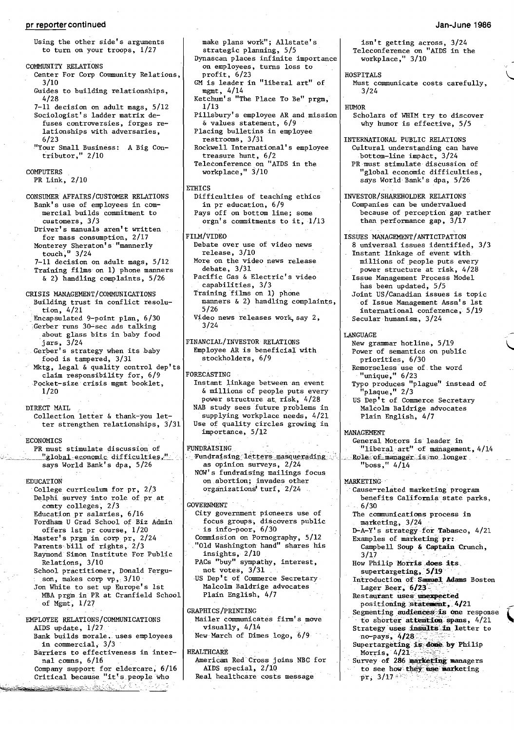# **pr** reporter continued **Jan-June 1986**

# Using the other side's arguments to turn on your troops, 1/27 COMMUNITY RELATIONS Center For Corp Community Relations, 3/10

- Guides to building relationships, 4/28
- 7-11 decision on adult mags, 5/12 Sociologist's ladder matrix defuses controversies, forges relationships with adversaries, 6/23
- "Your Small Business: A Big Contributor," 2/10

COMPUTERS

PR Link, 2/10

CONSUMER AFFAIRS/CUSTOMER RELATIONS Bank's use of employees in com mercial builds commitment to customers, 3/3 Driver's manuals aren't written for mass consumption, 2/17 Monterey Sheraton's "mannerly touch,  $\frac{1}{3}$  3/24 7-11 decision on adult mags, 5/12 Training films on 1) phone manners & 2) handling complaints, 5/26 CRISIS MANAGEMENT/COMMUNICATIONS Building trust in conflict resolution, 4/21 . Encapsulated 9-point plan, 6/30 Gerber runs 30-sec ads talking about glass bits in baby food 'jars, 3/24

- Gerber's strategy when its baby food is tampered,  $3/31$
- Mktg, legal & quality control dep'ts claim responsibility for, 6/9 PQcket-size crisis mgmt booklet, 1/20

DIRECT MAIL

Collection letter & thank-you letter strengthen relationships, 3/31

#### ECONOMICS

PR must stimulate discussion of<br>"global economic difficulties." says World Bank's dpa, 5/26

comty colleges, 273 GOVERNMENT 6/30 ..

- 
- 
- School practitioner, Donald Fergu- not votes, 3/31 supertargeting, 5/19

Son, makes corp vp, 3/10 US Dep't of Commerce Secretary and Introduction of Samuel Adams Boston Jon White to set up Europe's 1st Malcolm Baldrige advocates Lager Beer, 6/23<sup>3</sup>, ...<br>MBA prgm in PR at Cranfield School Plain MBA prgm in PR at Cranfield School Plain English, 4/7 Restaurant uses unexpected of Mgmt, 1/27 **positioning:statement, 4/21 positioning:statement, 4/21** 

EMPLOYEE RELATIONS/COMMUNICATIONS Mailer communicates at to shorter attentions at the shorter attention of the  $\frac{1}{27}$  move . Bank builds morale. uses employees in commercial,  $3/3$ 

- Company support for eldercare, 6/16 AIDS special, 2/10 to see how they use marketing<br>Critical because "it's people who Real healthcare costs message pr, 3/17
- <u>getek el</u>

on employees, turns loss to profit, 6/23 GM is leader in "liberal art" of mgmt, 4/14 Ketchum's "The Place To Be" prgm, 1/13 Pillsbury's employee AR and mission &values statement, 6/9 Placing bulletins in employee restrooms, 3/31 Rockwell International's employee treasure hunt, 6/2 Teleconference on "AIDS in the workplace," 3/10 ETHICS Difficulties of teaching ethics in pr education, 6/9 Pays off on bottom line; some orgn's commitments to it; 1/13 FILM/VIDEO Debate over use of video news release, 3/10 More on the video news release debate, 3/31 Pacific Gas & Electric's video capabilities, 3/3 Training films on 1) phone manners & 2) handling complaints, 5/26 Video news releases work, say  $2$ ,  $3/24$ FINANCIAL/INVESTOR RELATIONS Employee AR is beneficial with stockholders, 6/9 . FORECASTING Instant linkage between an event &millions of people puts every power structure at, risk, 4/28 NAB study sees future problems in supplying workplace needs, 4/21 Use of quality circles growing in importance, 5/12 .c,.\_-\_,\_-,,:,.\_\_".g10.h.a.l..:.e.c9n~dUfic-1.U,t.ie~..:'~....Fundratsing.-le.:t1:~~~.3!!§.sqlg!'p~di1!g;., . \_~\_\_ .R.Q1e"-Q:Lniaiiag.er-'ois;5no\_,longer \_ NOW's fundraising mailings focus

make plans work"; Allstate's strategic planning, 5/5

Dynascan places infinite importance

EDUCATION ON COLLEGE CULTUS ON A SALE OF STRAIN ON A SALE OF SALE OF SALE OF SALE OF SALE OF SALE OF SALE OF SALE OF SALE OF SALE OF SALE OF SALE OF SALE OF SALE OF SALE OF SALE OF SALE OF SALE OF SALE OF SALE OF SALE OF S

- Education pr salaries, 6/16 City government pioneers use of The communications Fordham U Grad School of Biz Admin focus groups, discovers public marketing, 3/24 Fordham U Grad School of Biz Admin focus groups, discovers public marketing, 3/24 coffers 1st pr course, 1/20 is info-poor, 6/30 b-A-Y's strategy-for Tabasco, 4/21 offers 1st pr course, 1/20 is info-poor, 6/30 <br>Master's premin corp pr, 2/24 Commission on Pornography, 5/12 Examples of marketing pr:<br>Parents bill of rights, 2/3 "Old Washington hand" shares his Campbell Soup & Captain Cr Particular bild Washington hand" shares his Campinsights,  $2/10$   $3/17$ Raymond Simon Institute For Public insights, 2/10 3/17 3/17<br>Relations, 3/10 3/17 PACs "buy" sympathy, interest, Bow Philip Morris does its Relations, 3/10 PACs "buy" sympathy, interest, How Philip Morris does School practitioner, Donald Fergu- not votes, 3/31
	-

GRAPHICS/PRINTING positioning statement, 4/21<br>Mailer communicates firm's move to shorter attention spans, 4/21

Barriers to effectiveness in inter-<br>metican Red Cross joins NBC for Survey of 286 marketing managers American Red Cross joins NBC for Survey of 286 marketing managers<br>AIDS special, 2/10 to see how they use marketing

isn't getting across, 3/24 Teleconference on "AIDS in the workplace," 3/10

HOSPITALS

Must communicate costs carefully, 3/24

### HUMOR

Scholars of WHIM try to discover why humor is effective, 5/5

INTERNATIONAL PUBLIC RELATIONS Cultural understanding can have bottom-line impact, 3/24 PR must stimulate discussion of "global economic difficulties, says World Bank's dpa, 5/26

INVESTOR/SHAREHOLDER RELATIONS Companies can be undervalued because of perception gap rather than performance gap, 3/17

ISSUES MANAGEMENT/ANTICIPATION 8 universal issues identified, 3/3 Instant linkage of event with

- millions of people puts every power structure at risk, 4/28
- Issue Management Process Model has been updated, 5/5 Joint US/Canadian issues is topic
- of Issue Management Assn's 1st international conference, 5/19 Secular humanism, 3/24

.<br>\

### LANGUAGE

- New grammar hotline, 5/19 Power of semantics on public
- priorities, 6/30
- Remorseless use of the word "unique," 6/23
- Typo produces "plague" instead of "plaque," 2/3
- US Dep't of Commerce Secretary Malcolm Baldrige advocates Plain English, 4/7

#### MANAGEMENT

General Motors is leader in "liberal art" of management, 4/14

Cause-related marketing program Delphi survey into role of pr at covers of covers of the benefits California state parks,<br>
comty colleges, 2/3

- 
- 
- 
- 
- son, makes corp vp, 3/10 · US Dep't of Commerce Secretary Introduction of Samuel Adams Boston
	-
	-
	-
	- visually,  $4/14$ <br>New March of Dimes logo,  $6/9$  Strategy uses insults in letter to
	- in commercial, 313 Supertargeting is done by Philip RALTHCARE
		- -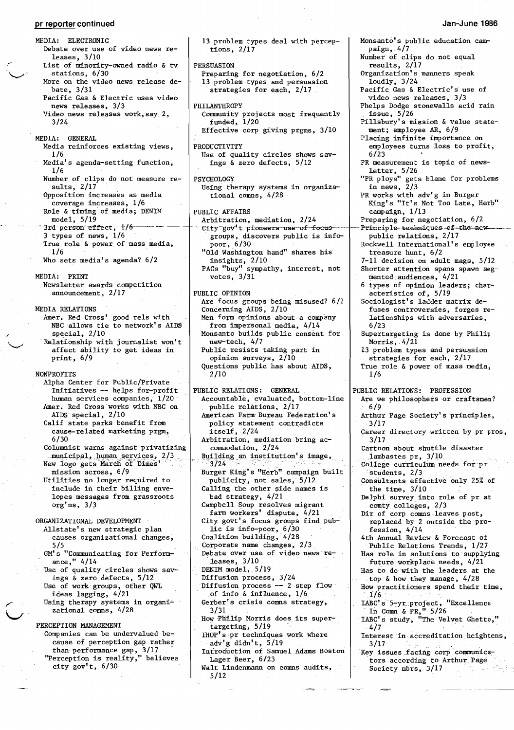**pr** reporter continued MEDIA: ELECTRONIC Debate over use of video news releases, 3/10 List of minority-owned radio  $\&$  tv stations, 6/30 More on the video news release debate, 3/31 Pacific Gas & Electric uses video news releases, 3/3 Video news releases work,say 2, 3/24 MEDIA: GENERAL Media reinforces existing views, 1/6 Media's agenda-setting function, 1/6 Number of clips do not measure results, 2/17 Opposition increases as media coverage increases, 1/6 Role & timing of media; DENIM model, 5/19  $3$ rd person effect,  $1/6^-$ 3 types of news, 1/6 True role & power of mass media,  $1/6$ Who sets media's agenda? 6/2 MEDIA: PRINT Newsletter awards competition announcement, 2/17 MEDIA RELATIONS Amer. Red Cross' good re1s with NBC allows tie to network's AIDS special, 2/10 . Relationship with journalist won't affect ability to get ideas in print, 6/9 NONPROFITS Alpha Center for Public/Private Initiatives **--** helps for-profit human services companies, 1/20 Amer. Red Cross works with NBC on AIDS special, 2/10 Calif state parks benefit from cause-related marketing prgm, 6/30 Columnist warns against privatizing municipal, human services, 2/3<br>New logo gets March of Dimes' mission across, 6/9 Utilities no longer required to include in their billing envelopes messages from grassroots org'ns, 3/3 ORGANIZATIONAL DEVELOPMENT Allstate's new strategic plan causes organizational changes, 5/5 GM's "Communicating for Performance," 4/14 Use of quality circles shows savings & zero defects, 5/12 Use of work groups, other QWL ideas lagging, 4/21 Using therapy systems in organizational comns, 4/28 PERCEPTION MANAGEMENT Companies can be undervalued because of perception gap rather than performance gap, 3/17 "Perception is reality," believes city gov't, 6/30

13 problem types deal with perceptions, 2/17 PERSUASION RSUASION<br>Preparing for negotiation, 6/2 13 problem types and persuasion strategies for each, 2/17 PHILANTHROPY Community projects most frequently funded, 1/20 Effective corp giving prgms, 3/10 PRODUCTIVITY ODUCTIVITY<br>Use of quality circles shows savings & zero defects, 5/12 PSYCHOLOGY Using therapy systems in organiza tional comns, 4/28 PUBLIC AFFAIRS Arbitration, mediation, 2/24 Arbitration, mediation, 2/24<br>- City-gov't-pioneers-use-of-focus groups, discovers public is infopoor, 6/30 "Old Washington hand" shares his insights, 2/10 PACs "buy" sympathy, interest, not votes, 3/31 PUBLIC OPINION Are focus groups being misused? 6/2 Concerning AIDS, 2/10 Men form opinions about a company from impersonal media, 4/14 Monsanto builds public consent for new-tech, 4/7 Public resists taking part in opinion surveys, 2/10 Questions public has about AIDS, 2/10 PUBLIC RELATIONS: GENERAL Accountable, evaluated, bottom-line public relations, 2/17 American Farm-Bureau Federation's policy statement contradicts itself,2/24 Arbitration, mediation bring accommodation, 2/24 Building an institution's image,  $\frac{3}{24}$ . Burger King's "Herb" campaign built publicity, not sales, 5/12 Calling the other side names is bad strategy, 4/21 Campbell Soup resolves migrant farm workers' dispute, 4/21 City govt's focus groups find public is info-poor, 6/30 Coalition building, 4/28 Corporate name changes, 2/3 Debate over use of video news releases, 3/10 DENIM model, 5/19 Diffusion process, 3/24 Diffusion process  $--$  2 step flow of info & influence,  $1/6$ Gerber's crisis comns strategy, *3/31*  How Philip Morris does its supertargeting, 5/19 IHOP's -pr techniques work where adv'g didn't, 5/19 Introduction of Samuel Adams Boston Lager Beer, 6/23 Walt Lindenmann on comns audits, 5/12

### **Jan-June 19B6**

Monsanto's public education campaign, 4/7 Number of clips do not equal results, 2/17 Organization's manners speak loudly, 3/24 Pacific Gas & Electric's use of video news releases, 3/3 Phelps Dodge stonewalls acid rain issue, 5/26 Pillsbury's mission & value statement; employee AR, 6/9 Placing infinite importance on employees turns loss to profit, 6/23 PR measurement is topic of newsletter, 5/26 "PR ploys" gets blame for problems in news, 2/3 PR works with adv'g in Burger King's "It's Not Too Late, Herb" campaign, 1/13 Preparing for negotiation, 6/2 Principle techniques of the new public relations, 2/17 Rockwell International's employee treasure hunt, 6/2 7-11 decision on adult mags, 5/12 Shorter attention spans spawn segmented audiences, 4/21 6 types of opinion leaders; characteristics of, 5/19 Sociologist's ladder matrix defuses controversies, forges relationships with adversaries, 6/23 Supertargeting is done by Philip Morris,  $4/21$ 13 problem types and persuasion strategies for each, 2/17 True role & power of mass media, 1/6 PUBLIC RELATIONS: PROFESSION Are we philosophers or craftsmen? 6/9 Arthur Page Society's principles, 3/17 Career directory written by pr pros, 3/17 Cartoon about shuttle disaster<br>lambastes pr,  $3/10$ College curriculum needs for pr students, 2/3 Consultants effective only 25% of the time, 3/10 Delphi survey into role of pr at comty colleges, 2/3 Dir of corp comns leaves post, replaced by 2 outside the profession, 4/14 4th Annual Review & Forecast of Public Relations Trends,1/27 Has role in solutions to supplying future workplace needs, 4/21 Has to do with the leaders at the top & how they manage, 4/28 How practitioners spend their time, -1/6 IABC's -5-yr.:proJect, "Excellence In Comn & PR, ". 5/26 -IABC's study, "The Velvet Ghetto," 4/7 . - \_ Interest in accreditation heightens, 3/17 Key issues facing corp communicators according to Arthur Page Society mbrs, 3/17